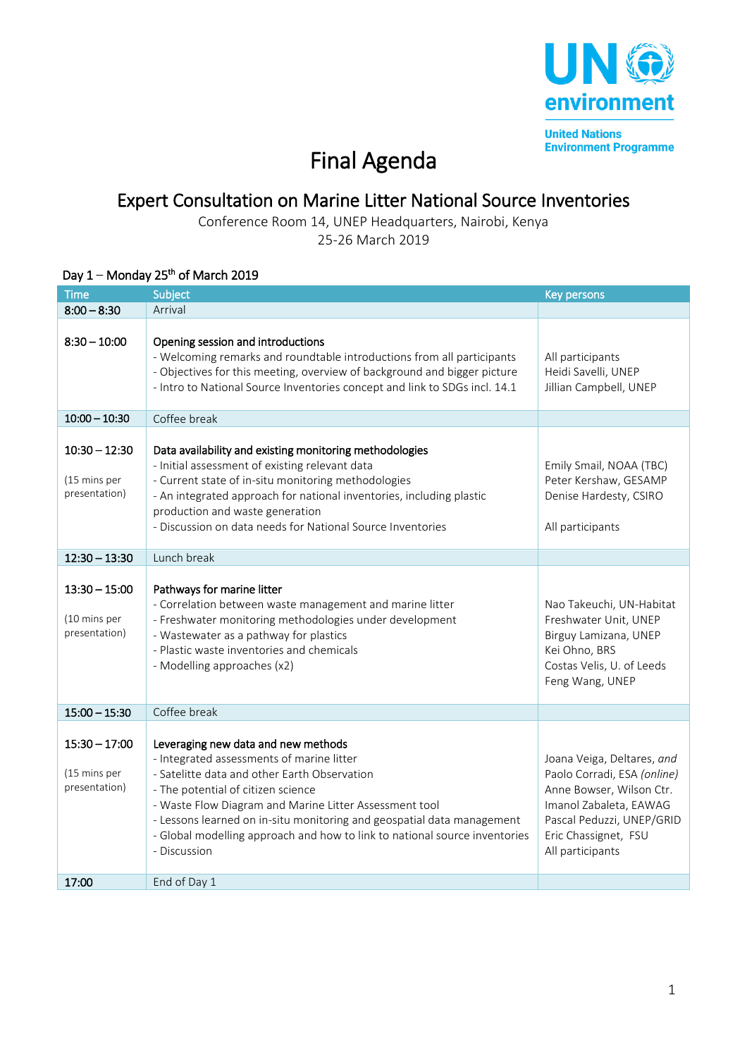

**United Nations Environment Programme** 

## Final Agenda

## Expert Consultation on Marine Litter National Source Inventories

Conference Room 14, UNEP Headquarters, Nairobi, Kenya

25-26 March 2019

## Day  $1 -$  Monday 25<sup>th</sup> of March 2019

| <b>Time</b>                                      | Subject                                                                                                                                                                                                                                                                                                                                                                                                  | <b>Key persons</b>                                                                                                                                                                       |
|--------------------------------------------------|----------------------------------------------------------------------------------------------------------------------------------------------------------------------------------------------------------------------------------------------------------------------------------------------------------------------------------------------------------------------------------------------------------|------------------------------------------------------------------------------------------------------------------------------------------------------------------------------------------|
| $8:00 - 8:30$                                    | Arrival                                                                                                                                                                                                                                                                                                                                                                                                  |                                                                                                                                                                                          |
| $8:30 - 10:00$                                   | Opening session and introductions<br>- Welcoming remarks and roundtable introductions from all participants<br>- Objectives for this meeting, overview of background and bigger picture<br>- Intro to National Source Inventories concept and link to SDGs incl. 14.1                                                                                                                                    | All participants<br>Heidi Savelli, UNEP<br>Jillian Campbell, UNEP                                                                                                                        |
| $10:00 - 10:30$                                  | Coffee break                                                                                                                                                                                                                                                                                                                                                                                             |                                                                                                                                                                                          |
| $10:30 - 12:30$<br>(15 mins per<br>presentation) | Data availability and existing monitoring methodologies<br>- Initial assessment of existing relevant data<br>- Current state of in-situ monitoring methodologies<br>- An integrated approach for national inventories, including plastic<br>production and waste generation<br>- Discussion on data needs for National Source Inventories                                                                | Emily Smail, NOAA (TBC)<br>Peter Kershaw, GESAMP<br>Denise Hardesty, CSIRO<br>All participants                                                                                           |
| $12:30 - 13:30$                                  | Lunch break                                                                                                                                                                                                                                                                                                                                                                                              |                                                                                                                                                                                          |
| $13:30 - 15:00$<br>(10 mins per<br>presentation) | Pathways for marine litter<br>- Correlation between waste management and marine litter<br>- Freshwater monitoring methodologies under development<br>- Wastewater as a pathway for plastics<br>- Plastic waste inventories and chemicals<br>- Modelling approaches (x2)                                                                                                                                  | Nao Takeuchi, UN-Habitat<br>Freshwater Unit, UNEP<br>Birguy Lamizana, UNEP<br>Kei Ohno, BRS<br>Costas Velis, U. of Leeds<br>Feng Wang, UNEP                                              |
| $15:00 - 15:30$                                  | Coffee break                                                                                                                                                                                                                                                                                                                                                                                             |                                                                                                                                                                                          |
| $15:30 - 17:00$<br>(15 mins per<br>presentation) | Leveraging new data and new methods<br>- Integrated assessments of marine litter<br>- Satelitte data and other Earth Observation<br>- The potential of citizen science<br>- Waste Flow Diagram and Marine Litter Assessment tool<br>- Lessons learned on in-situ monitoring and geospatial data management<br>- Global modelling approach and how to link to national source inventories<br>- Discussion | Joana Veiga, Deltares, and<br>Paolo Corradi, ESA (online)<br>Anne Bowser, Wilson Ctr.<br>Imanol Zabaleta, EAWAG<br>Pascal Peduzzi, UNEP/GRID<br>Eric Chassignet, FSU<br>All participants |
| 17:00                                            | End of Day 1                                                                                                                                                                                                                                                                                                                                                                                             |                                                                                                                                                                                          |